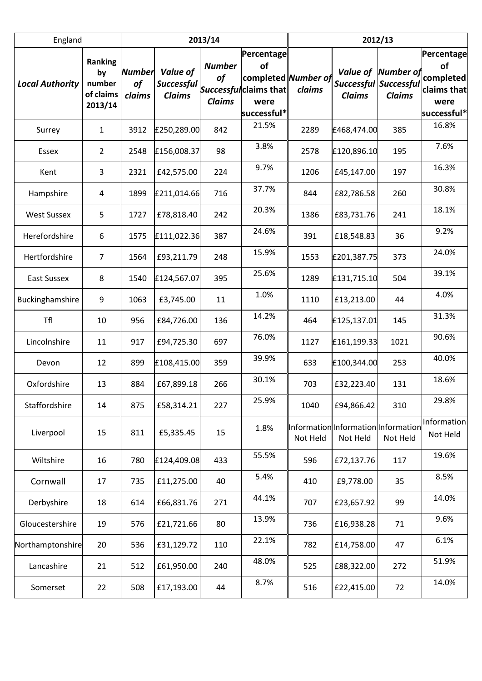| England                |                                                        |                               | 2013/14                                        |                                             | 2012/13                                                                                        |                                                 |                           |                                                     |                                                                     |
|------------------------|--------------------------------------------------------|-------------------------------|------------------------------------------------|---------------------------------------------|------------------------------------------------------------------------------------------------|-------------------------------------------------|---------------------------|-----------------------------------------------------|---------------------------------------------------------------------|
| <b>Local Authority</b> | <b>Ranking</b><br>by<br>number<br>of claims<br>2013/14 | <b>Number</b><br>of<br>claims | Value of<br><b>Successful</b><br><b>Claims</b> | <b>Number</b><br><b>of</b><br><b>Claims</b> | <b>Percentage</b><br>of<br>completed Number of<br>Successfulclaims that<br>were<br>successful* | claims                                          | Value of<br><b>Claims</b> | Number of<br>Successful Successful<br><b>Claims</b> | Percentage<br>of<br>completed<br>claims that<br>were<br>successful* |
| Surrey                 | $\mathbf{1}$                                           | 3912                          | £250,289.00                                    | 842                                         | 21.5%                                                                                          | 2289                                            | £468,474.00               | 385                                                 | 16.8%                                                               |
| Essex                  | $\overline{2}$                                         | 2548                          | £156,008.37                                    | 98                                          | 3.8%                                                                                           | 2578                                            | £120,896.10               | 195                                                 | 7.6%                                                                |
| Kent                   | 3                                                      | 2321                          | £42,575.00                                     | 224                                         | 9.7%                                                                                           | 1206                                            | £45,147.00                | 197                                                 | 16.3%                                                               |
| Hampshire              | 4                                                      | 1899                          | £211,014.66                                    | 716                                         | 37.7%                                                                                          | 844                                             | £82,786.58                | 260                                                 | 30.8%                                                               |
| <b>West Sussex</b>     | 5                                                      | 1727                          | £78,818.40                                     | 242                                         | 20.3%                                                                                          | 1386                                            | £83,731.76                | 241                                                 | 18.1%                                                               |
| Herefordshire          | 6                                                      | 1575                          | £111,022.36                                    | 387                                         | 24.6%                                                                                          | 391                                             | £18,548.83                | 36                                                  | 9.2%                                                                |
| Hertfordshire          | 7                                                      | 1564                          | £93,211.79                                     | 248                                         | 15.9%                                                                                          | 1553                                            | £201,387.75               | 373                                                 | 24.0%                                                               |
| <b>East Sussex</b>     | 8                                                      | 1540                          | £124,567.07                                    | 395                                         | 25.6%                                                                                          | 1289                                            | £131,715.10               | 504                                                 | 39.1%                                                               |
| Buckinghamshire        | 9                                                      | 1063                          | £3,745.00                                      | 11                                          | 1.0%                                                                                           | 1110                                            | £13,213.00                | 44                                                  | 4.0%                                                                |
| Tfl                    | 10                                                     | 956                           | £84,726.00                                     | 136                                         | 14.2%                                                                                          | 464                                             | £125,137.01               | 145                                                 | 31.3%                                                               |
| Lincolnshire           | 11                                                     | 917                           | £94,725.30                                     | 697                                         | 76.0%                                                                                          | 1127                                            | £161,199.33               | 1021                                                | 90.6%                                                               |
| Devon                  | 12                                                     | 899                           | £108,415.00                                    | 359                                         | 39.9%                                                                                          | 633                                             | £100,344.00               | 253                                                 | 40.0%                                                               |
| Oxfordshire            | 13                                                     | 884                           | £67,899.18                                     | 266                                         | 30.1%                                                                                          | 703                                             | £32,223.40                | 131                                                 | 18.6%                                                               |
| Staffordshire          | 14                                                     | 875                           | £58,314.21                                     | 227                                         | 25.9%                                                                                          | 1040                                            | £94,866.42                | 310                                                 | 29.8%                                                               |
| Liverpool              | 15                                                     | 811                           | £5,335.45                                      | 15                                          | 1.8%                                                                                           | Information Information Information<br>Not Held | Not Held                  | Not Held                                            | Information<br>Not Held                                             |
| Wiltshire              | 16                                                     | 780                           | £124,409.08                                    | 433                                         | 55.5%                                                                                          | 596                                             | £72,137.76                | 117                                                 | 19.6%                                                               |
| Cornwall               | 17                                                     | 735                           | £11,275.00                                     | 40                                          | 5.4%                                                                                           | 410                                             | £9,778.00                 | 35                                                  | 8.5%                                                                |
| Derbyshire             | 18                                                     | 614                           | £66,831.76                                     | 271                                         | 44.1%                                                                                          | 707                                             | £23,657.92                | 99                                                  | 14.0%                                                               |
| Gloucestershire        | 19                                                     | 576                           | £21,721.66                                     | 80                                          | 13.9%                                                                                          | 736                                             | £16,938.28                | 71                                                  | 9.6%                                                                |
| Northamptonshire       | 20                                                     | 536                           | £31,129.72                                     | 110                                         | 22.1%                                                                                          | 782                                             | £14,758.00                | 47                                                  | 6.1%                                                                |
| Lancashire             | 21                                                     | 512                           | £61,950.00                                     | 240                                         | 48.0%                                                                                          | 525                                             | £88,322.00                | 272                                                 | 51.9%                                                               |
| Somerset               | 22                                                     | 508                           | £17,193.00                                     | 44                                          | 8.7%                                                                                           | 516                                             | £22,415.00                | 72                                                  | 14.0%                                                               |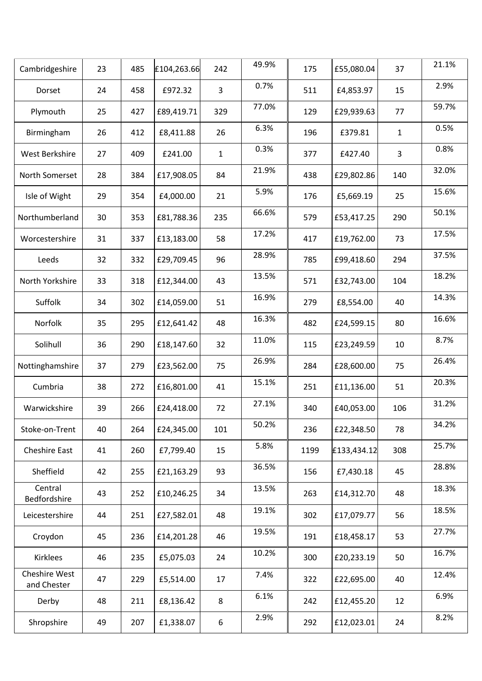| Cambridgeshire               | 23 | 485 | £104,263.66 | 242          | 49.9% | 175  | £55,080.04  | 37           | 21.1% |
|------------------------------|----|-----|-------------|--------------|-------|------|-------------|--------------|-------|
| Dorset                       | 24 | 458 | £972.32     | 3            | 0.7%  | 511  | £4,853.97   | 15           | 2.9%  |
| Plymouth                     | 25 | 427 | £89,419.71  | 329          | 77.0% | 129  | £29,939.63  | 77           | 59.7% |
| Birmingham                   | 26 | 412 | £8,411.88   | 26           | 6.3%  | 196  | £379.81     | $\mathbf{1}$ | 0.5%  |
| West Berkshire               | 27 | 409 | £241.00     | $\mathbf{1}$ | 0.3%  | 377  | £427.40     | 3            | 0.8%  |
| North Somerset               | 28 | 384 | £17,908.05  | 84           | 21.9% | 438  | £29,802.86  | 140          | 32.0% |
| Isle of Wight                | 29 | 354 | £4,000.00   | 21           | 5.9%  | 176  | £5,669.19   | 25           | 15.6% |
| Northumberland               | 30 | 353 | £81,788.36  | 235          | 66.6% | 579  | £53,417.25  | 290          | 50.1% |
| Worcestershire               | 31 | 337 | £13,183.00  | 58           | 17.2% | 417  | £19,762.00  | 73           | 17.5% |
| Leeds                        | 32 | 332 | £29,709.45  | 96           | 28.9% | 785  | £99,418.60  | 294          | 37.5% |
| North Yorkshire              | 33 | 318 | £12,344.00  | 43           | 13.5% | 571  | £32,743.00  | 104          | 18.2% |
| Suffolk                      | 34 | 302 | £14,059.00  | 51           | 16.9% | 279  | £8,554.00   | 40           | 14.3% |
| Norfolk                      | 35 | 295 | £12,641.42  | 48           | 16.3% | 482  | £24,599.15  | 80           | 16.6% |
| Solihull                     | 36 | 290 | £18,147.60  | 32           | 11.0% | 115  | £23,249.59  | 10           | 8.7%  |
| Nottinghamshire              | 37 | 279 | £23,562.00  | 75           | 26.9% | 284  | £28,600.00  | 75           | 26.4% |
| Cumbria                      | 38 | 272 | £16,801.00  | 41           | 15.1% | 251  | £11,136.00  | 51           | 20.3% |
| Warwickshire                 | 39 | 266 | £24,418.00  | 72           | 27.1% | 340  | £40,053.00  | 106          | 31.2% |
| Stoke-on-Trent               | 40 | 264 | £24,345.00  | 101          | 50.2% | 236  | £22,348.50  | 78           | 34.2% |
| <b>Cheshire East</b>         | 41 | 260 | £7,799.40   | 15           | 5.8%  | 1199 | £133,434.12 | 308          | 25.7% |
| Sheffield                    | 42 | 255 | £21,163.29  | 93           | 36.5% | 156  | £7,430.18   | 45           | 28.8% |
| Central<br>Bedfordshire      | 43 | 252 | £10,246.25  | 34           | 13.5% | 263  | £14,312.70  | 48           | 18.3% |
| Leicestershire               | 44 | 251 | £27,582.01  | 48           | 19.1% | 302  | £17,079.77  | 56           | 18.5% |
| Croydon                      | 45 | 236 | £14,201.28  | 46           | 19.5% | 191  | £18,458.17  | 53           | 27.7% |
| Kirklees                     | 46 | 235 | £5,075.03   | 24           | 10.2% | 300  | £20,233.19  | 50           | 16.7% |
| Cheshire West<br>and Chester | 47 | 229 | £5,514.00   | 17           | 7.4%  | 322  | £22,695.00  | 40           | 12.4% |
| Derby                        | 48 | 211 | £8,136.42   | 8            | 6.1%  | 242  | £12,455.20  | 12           | 6.9%  |
| Shropshire                   | 49 | 207 | £1,338.07   | 6            | 2.9%  | 292  | £12,023.01  | 24           | 8.2%  |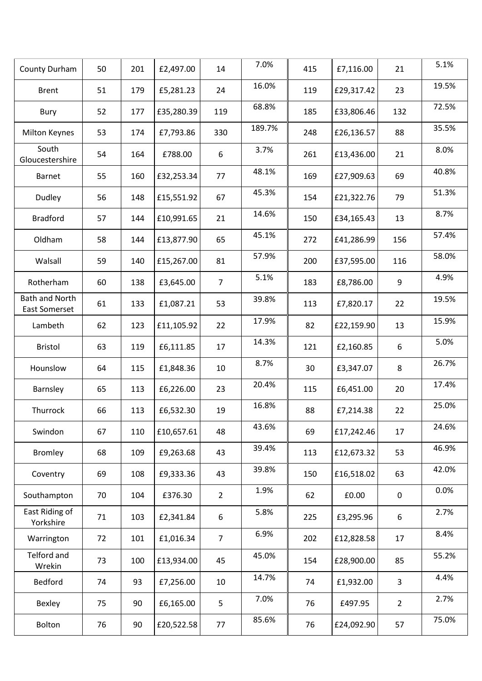| County Durham                          | 50 | 201 | £2,497.00  | 14             | 7.0%   | 415 | £7,116.00  | 21               | 5.1%  |
|----------------------------------------|----|-----|------------|----------------|--------|-----|------------|------------------|-------|
| <b>Brent</b>                           | 51 | 179 | £5,281.23  | 24             | 16.0%  | 119 | £29,317.42 | 23               | 19.5% |
| Bury                                   | 52 | 177 | £35,280.39 | 119            | 68.8%  | 185 | £33,806.46 | 132              | 72.5% |
| Milton Keynes                          | 53 | 174 | £7,793.86  | 330            | 189.7% | 248 | £26,136.57 | 88               | 35.5% |
| South<br>Gloucestershire               | 54 | 164 | £788.00    | 6              | 3.7%   | 261 | £13,436.00 | 21               | 8.0%  |
| Barnet                                 | 55 | 160 | £32,253.34 | 77             | 48.1%  | 169 | £27,909.63 | 69               | 40.8% |
| Dudley                                 | 56 | 148 | £15,551.92 | 67             | 45.3%  | 154 | £21,322.76 | 79               | 51.3% |
| <b>Bradford</b>                        | 57 | 144 | £10,991.65 | 21             | 14.6%  | 150 | £34,165.43 | 13               | 8.7%  |
| Oldham                                 | 58 | 144 | £13,877.90 | 65             | 45.1%  | 272 | £41,286.99 | 156              | 57.4% |
| Walsall                                | 59 | 140 | £15,267.00 | 81             | 57.9%  | 200 | £37,595.00 | 116              | 58.0% |
| Rotherham                              | 60 | 138 | £3,645.00  | $\overline{7}$ | 5.1%   | 183 | £8,786.00  | 9                | 4.9%  |
| <b>Bath and North</b><br>East Somerset | 61 | 133 | £1,087.21  | 53             | 39.8%  | 113 | £7,820.17  | 22               | 19.5% |
| Lambeth                                | 62 | 123 | £11,105.92 | 22             | 17.9%  | 82  | £22,159.90 | 13               | 15.9% |
| <b>Bristol</b>                         | 63 | 119 | £6,111.85  | 17             | 14.3%  | 121 | £2,160.85  | $\boldsymbol{6}$ | 5.0%  |
| Hounslow                               | 64 | 115 | £1,848.36  | 10             | 8.7%   | 30  | £3,347.07  | 8                | 26.7% |
| Barnsley                               | 65 | 113 | £6,226.00  | 23             | 20.4%  | 115 | £6,451.00  | 20               | 17.4% |
| Thurrock                               | 66 | 113 | £6,532.30  | 19             | 16.8%  | 88  | £7,214.38  | 22               | 25.0% |
| Swindon                                | 67 | 110 | £10,657.61 | 48             | 43.6%  | 69  | £17,242.46 | 17               | 24.6% |
| <b>Bromley</b>                         | 68 | 109 | £9,263.68  | 43             | 39.4%  | 113 | £12,673.32 | 53               | 46.9% |
| Coventry                               | 69 | 108 | £9,333.36  | 43             | 39.8%  | 150 | £16,518.02 | 63               | 42.0% |
| Southampton                            | 70 | 104 | £376.30    | $2^{\circ}$    | 1.9%   | 62  | £0.00      | $\mathbf 0$      | 0.0%  |
| East Riding of<br>Yorkshire            | 71 | 103 | £2,341.84  | 6              | 5.8%   | 225 | £3,295.96  | 6                | 2.7%  |
| Warrington                             | 72 | 101 | £1,016.34  | $\overline{7}$ | 6.9%   | 202 | £12,828.58 | 17               | 8.4%  |
| Telford and<br>Wrekin                  | 73 | 100 | £13,934.00 | 45             | 45.0%  | 154 | £28,900.00 | 85               | 55.2% |
| Bedford                                | 74 | 93  | £7,256.00  | 10             | 14.7%  | 74  | £1,932.00  | $\overline{3}$   | 4.4%  |
| Bexley                                 | 75 | 90  | £6,165.00  | 5              | 7.0%   | 76  | £497.95    | $\overline{2}$   | 2.7%  |
| Bolton                                 | 76 | 90  | £20,522.58 | 77             | 85.6%  | 76  | £24,092.90 | 57               | 75.0% |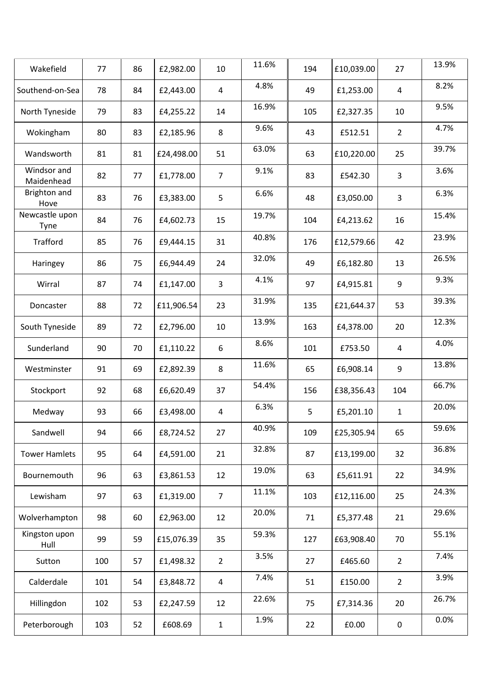| Wakefield                 | 77  | 86 | £2,982.00  | 10             | 11.6% | 194 | £10,039.00 | 27              | 13.9% |
|---------------------------|-----|----|------------|----------------|-------|-----|------------|-----------------|-------|
| Southend-on-Sea           | 78  | 84 | £2,443.00  | 4              | 4.8%  | 49  | £1,253.00  | $\overline{4}$  | 8.2%  |
| North Tyneside            | 79  | 83 | £4,255.22  | 14             | 16.9% | 105 | £2,327.35  | 10              | 9.5%  |
| Wokingham                 | 80  | 83 | £2,185.96  | 8              | 9.6%  | 43  | £512.51    | $2\overline{ }$ | 4.7%  |
| Wandsworth                | 81  | 81 | £24,498.00 | 51             | 63.0% | 63  | £10,220.00 | 25              | 39.7% |
| Windsor and<br>Maidenhead | 82  | 77 | £1,778.00  | $\overline{7}$ | 9.1%  | 83  | £542.30    | $\mathbf{3}$    | 3.6%  |
| Brighton and<br>Hove      | 83  | 76 | £3,383.00  | 5              | 6.6%  | 48  | £3,050.00  | $\overline{3}$  | 6.3%  |
| Newcastle upon<br>Tyne    | 84  | 76 | £4,602.73  | 15             | 19.7% | 104 | £4,213.62  | 16              | 15.4% |
| Trafford                  | 85  | 76 | £9,444.15  | 31             | 40.8% | 176 | £12,579.66 | 42              | 23.9% |
| Haringey                  | 86  | 75 | £6,944.49  | 24             | 32.0% | 49  | £6,182.80  | 13              | 26.5% |
| Wirral                    | 87  | 74 | £1,147.00  | 3              | 4.1%  | 97  | £4,915.81  | 9               | 9.3%  |
| Doncaster                 | 88  | 72 | £11,906.54 | 23             | 31.9% | 135 | £21,644.37 | 53              | 39.3% |
| South Tyneside            | 89  | 72 | £2,796.00  | 10             | 13.9% | 163 | £4,378.00  | 20              | 12.3% |
| Sunderland                | 90  | 70 | £1,110.22  | 6              | 8.6%  | 101 | £753.50    | $\overline{4}$  | 4.0%  |
| Westminster               | 91  | 69 | £2,892.39  | 8              | 11.6% | 65  | £6,908.14  | 9               | 13.8% |
| Stockport                 | 92  | 68 | £6,620.49  | 37             | 54.4% | 156 | £38,356.43 | 104             | 66.7% |
| Medway                    | 93  | 66 | £3,498.00  | $\overline{4}$ | 6.3%  | 5   | £5,201.10  | $\mathbf{1}$    | 20.0% |
| Sandwell                  | 94  | 66 | £8,724.52  | 27             | 40.9% | 109 | £25,305.94 | 65              | 59.6% |
| <b>Tower Hamlets</b>      | 95  | 64 | £4,591.00  | 21             | 32.8% | 87  | £13,199.00 | 32              | 36.8% |
| Bournemouth               | 96  | 63 | £3,861.53  | 12             | 19.0% | 63  | £5,611.91  | 22              | 34.9% |
| Lewisham                  | 97  | 63 | £1,319.00  | $\overline{7}$ | 11.1% | 103 | £12,116.00 | 25              | 24.3% |
| Wolverhampton             | 98  | 60 | £2,963.00  | 12             | 20.0% | 71  | £5,377.48  | 21              | 29.6% |
| Kingston upon<br>Hull     | 99  | 59 | £15,076.39 | 35             | 59.3% | 127 | £63,908.40 | 70              | 55.1% |
| Sutton                    | 100 | 57 | £1,498.32  | $\overline{2}$ | 3.5%  | 27  | £465.60    | $\overline{2}$  | 7.4%  |
| Calderdale                | 101 | 54 | £3,848.72  | $\overline{4}$ | 7.4%  | 51  | £150.00    | $\overline{2}$  | 3.9%  |
| Hillingdon                | 102 | 53 | £2,247.59  | 12             | 22.6% | 75  | £7,314.36  | 20              | 26.7% |
| Peterborough              | 103 | 52 | £608.69    | $\mathbf{1}$   | 1.9%  | 22  | £0.00      | $\mathbf 0$     | 0.0%  |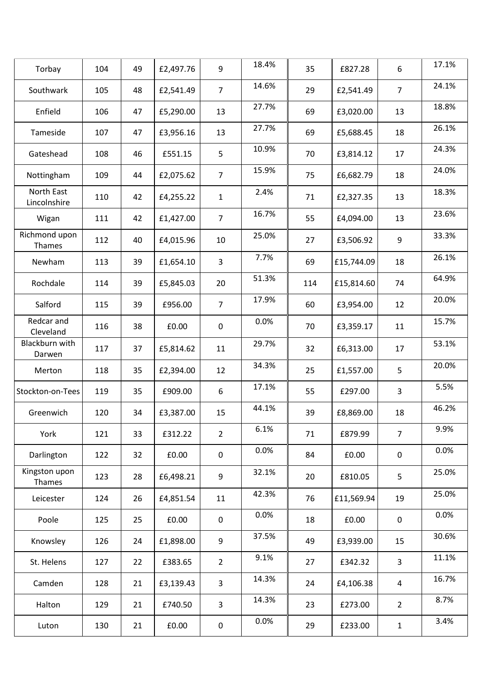| Torbay                     | 104 | 49 | £2,497.76 | 9              | 18.4% | 35  | £827.28    | 6              | 17.1% |
|----------------------------|-----|----|-----------|----------------|-------|-----|------------|----------------|-------|
| Southwark                  | 105 | 48 | £2,541.49 | $\overline{7}$ | 14.6% | 29  | £2,541.49  | $\overline{7}$ | 24.1% |
| Enfield                    | 106 | 47 | £5,290.00 | 13             | 27.7% | 69  | £3,020.00  | 13             | 18.8% |
| Tameside                   | 107 | 47 | £3,956.16 | 13             | 27.7% | 69  | £5,688.45  | 18             | 26.1% |
| Gateshead                  | 108 | 46 | £551.15   | 5              | 10.9% | 70  | £3,814.12  | 17             | 24.3% |
| Nottingham                 | 109 | 44 | £2,075.62 | $\overline{7}$ | 15.9% | 75  | £6,682.79  | 18             | 24.0% |
| North East<br>Lincolnshire | 110 | 42 | £4,255.22 | $\mathbf{1}$   | 2.4%  | 71  | £2,327.35  | 13             | 18.3% |
| Wigan                      | 111 | 42 | £1,427.00 | $\overline{7}$ | 16.7% | 55  | £4,094.00  | 13             | 23.6% |
| Richmond upon<br>Thames    | 112 | 40 | £4,015.96 | 10             | 25.0% | 27  | £3,506.92  | 9              | 33.3% |
| Newham                     | 113 | 39 | £1,654.10 | 3              | 7.7%  | 69  | £15,744.09 | 18             | 26.1% |
| Rochdale                   | 114 | 39 | £5,845.03 | 20             | 51.3% | 114 | £15,814.60 | 74             | 64.9% |
| Salford                    | 115 | 39 | £956.00   | $\overline{7}$ | 17.9% | 60  | £3,954.00  | 12             | 20.0% |
| Redcar and<br>Cleveland    | 116 | 38 | £0.00     | $\mathbf 0$    | 0.0%  | 70  | £3,359.17  | 11             | 15.7% |
| Blackburn with<br>Darwen   | 117 | 37 | £5,814.62 | 11             | 29.7% | 32  | £6,313.00  | 17             | 53.1% |
| Merton                     | 118 | 35 | £2,394.00 | 12             | 34.3% | 25  | £1,557.00  | 5              | 20.0% |
| Stockton-on-Tees           | 119 | 35 | £909.00   | 6              | 17.1% | 55  | £297.00    | 3              | 5.5%  |
| Greenwich                  | 120 | 34 | £3,387.00 | 15             | 44.1% | 39  | £8,869.00  | 18             | 46.2% |
| York                       | 121 | 33 | £312.22   | $\overline{2}$ | 6.1%  | 71  | £879.99    | $\overline{7}$ | 9.9%  |
| Darlington                 | 122 | 32 | £0.00     | 0              | 0.0%  | 84  | £0.00      | $\pmb{0}$      | 0.0%  |
| Kingston upon<br>Thames    | 123 | 28 | £6,498.21 | 9              | 32.1% | 20  | £810.05    | 5              | 25.0% |
| Leicester                  | 124 | 26 | £4,851.54 | 11             | 42.3% | 76  | £11,569.94 | 19             | 25.0% |
| Poole                      | 125 | 25 | £0.00     | $\mathbf 0$    | 0.0%  | 18  | £0.00      | $\pmb{0}$      | 0.0%  |
| Knowsley                   | 126 | 24 | £1,898.00 | 9              | 37.5% | 49  | £3,939.00  | 15             | 30.6% |
| St. Helens                 | 127 | 22 | £383.65   | $\overline{2}$ | 9.1%  | 27  | £342.32    | $\overline{3}$ | 11.1% |
| Camden                     | 128 | 21 | £3,139.43 | 3              | 14.3% | 24  | £4,106.38  | $\overline{4}$ | 16.7% |
| Halton                     | 129 | 21 | £740.50   | 3              | 14.3% | 23  | £273.00    | $\overline{2}$ | 8.7%  |
| Luton                      | 130 | 21 | £0.00     | 0              | 0.0%  | 29  | £233.00    | $1\,$          | 3.4%  |